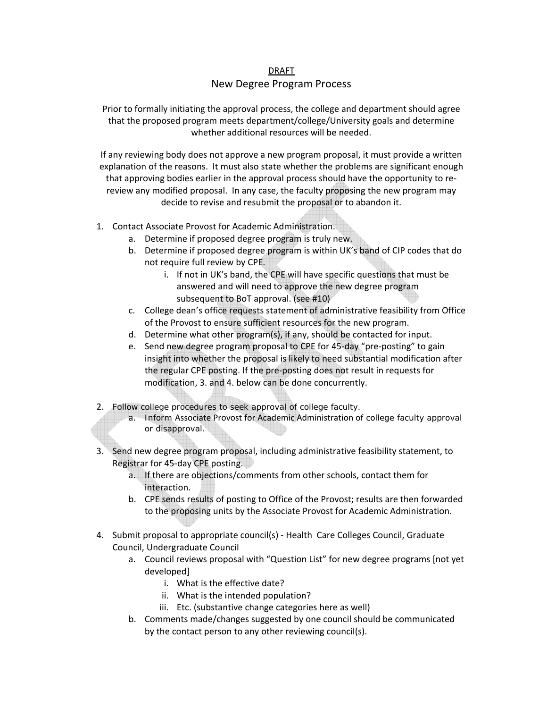## DRAFT New Degree Program Process

Prior to formally initiating the approval process, the college and department should agree that the proposed program meets department/college/University goals and determine whether additional resources will be needed.

If any reviewing body does not approve a new program proposal, it must provide a written explanation of the reasons. It must also state whether the problems are significant enough that approving bodies earlier in the approval process should have the opportunity to re‐ review any modified proposal. In any case, the faculty proposing the new program may decide to revise and resubmit the proposal or to abandon it.

- 1. Contact Associate Provost for Academic Administration.
	- a. Determine if proposed degree program is truly new.
	- b. Determine if proposed degree program is within UK's band of CIP codes that do not require full review by CPE.
		- i. If not in UK's band, the CPE will have specific questions that must be answered and will need to approve the new degree program subsequent to BoT approval. (see #10)
	- c. College dean's office requests statement of administrative feasibility from Office of the Provost to ensure sufficient resources for the new program.
	- d. Determine what other program(s), if any, should be contacted for input.
	- e. Send new degree program proposal to CPE for 45‐day "pre‐posting" to gain insight into whether the proposal is likely to need substantial modification after the regular CPE posting. If the pre‐posting does not result in requests for modification, 3. and 4. below can be done concurrently.
- 2. Follow college procedures to seek approval of college faculty.
	- a. Inform Associate Provost for Academic Administration of college faculty approval or disapproval.
- 3. Send new degree program proposal, including administrative feasibility statement, to Registrar for 45‐day CPE posting.
	- a. If there are objections/comments from other schools, contact them for interaction.
	- b. CPE sends results of posting to Office of the Provost; results are then forwarded to the proposing units by the Associate Provost for Academic Administration.
- 4. Submit proposal to appropriate council(s) Health Care Colleges Council, Graduate Council, Undergraduate Council
	- a. Council reviews proposal with "Question List" for new degree programs [not yet developed]
		- i. What is the effective date?
		- ii. What is the intended population?
		- iii. Etc. (substantive change categories here as well)
	- b. Comments made/changes suggested by one council should be communicated by the contact person to any other reviewing council(s).